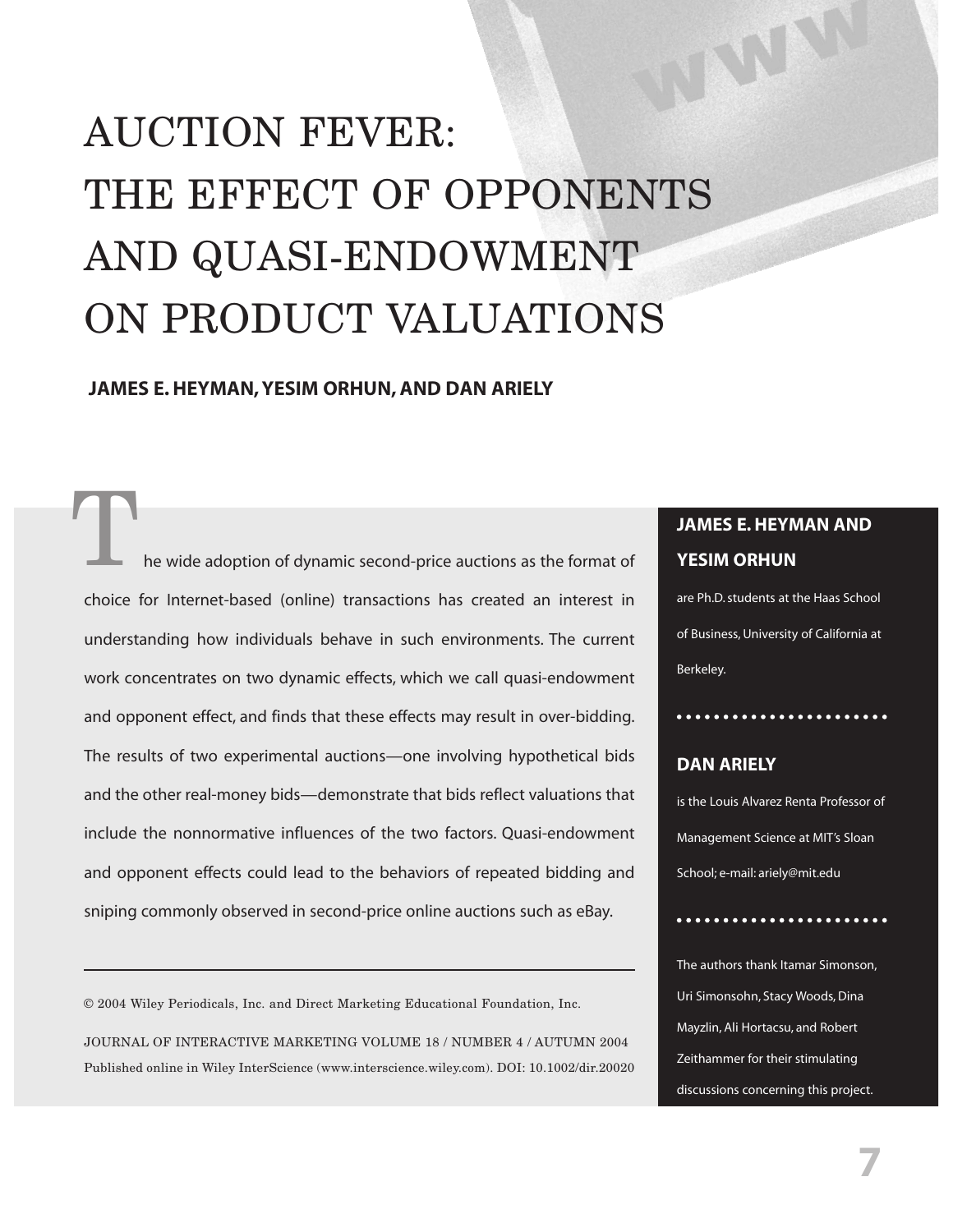# AUCTION FEVER: THE EFFECT OF OPPONENTS AND QUASI-ENDOWMENT ON PRODUCT VALUATIONS

#### **JAMES E. HEYMAN, YESIM ORHUN, AND DAN ARIELY**

he wide adoption of dynamic second-price auctions as the format of choice for Internet-based (online) transactions has created an interest in understanding how individuals behave in such environments. The current work concentrates on two dynamic effects, which we call quasi-endowment and opponent effect, and finds that these effects may result in over-bidding. The results of two experimental auctions—one involving hypothetical bids and the other real-money bids—demonstrate that bids reflect valuations that include the nonnormative influences of the two factors. Quasi-endowment and opponent effects could lead to the behaviors of repeated bidding and sniping commonly observed in second-price online auctions such as eBay. T

© 2004 Wiley Periodicals, Inc. and Direct Marketing Educational Foundation, Inc. JOURNAL OF INTERACTIVE MARKETING VOLUME 18 / NUMBER 4 / AUTUMN 2004 Published online in Wiley InterScience (www.interscience.wiley.com). DOI: 10.1002/dir.20020

# **JAMES E. HEYMAN AND YESIM ORHUN**

WAY

are Ph.D. students at the Haas School of Business, University of California at Berkeley.

. . . . . . . . . . . . . . . . . .

#### **DAN ARIELY**

is the Louis Alvarez Renta Professor of Management Science at MIT's Sloan School; e-mail: ariely@mit.edu

. . . . . . . . . . . . . . . . .

The authors thank Itamar Simonson, Uri Simonsohn, Stacy Woods, Dina Mayzlin, Ali Hortacsu, and Robert Zeithammer for their stimulating discussions concerning this project.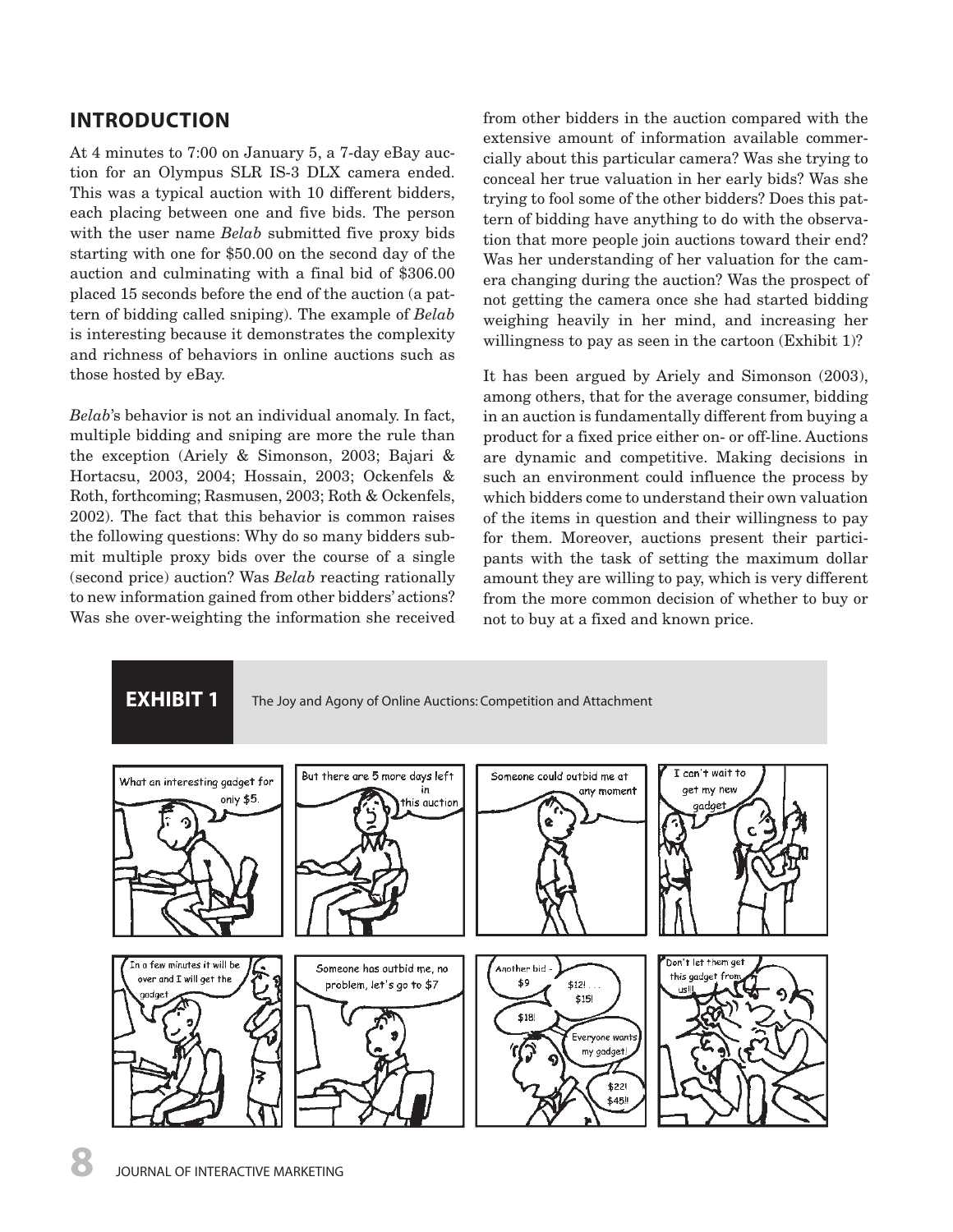## **INTRODUCTION**

At 4 minutes to 7:00 on January 5, a 7-day eBay auction for an Olympus SLR IS-3 DLX camera ended. This was a typical auction with 10 different bidders, each placing between one and five bids. The person with the user name *Belab* submitted five proxy bids starting with one for \$50.00 on the second day of the auction and culminating with a final bid of \$306.00 placed 15 seconds before the end of the auction (a pattern of bidding called sniping). The example of *Belab* is interesting because it demonstrates the complexity and richness of behaviors in online auctions such as those hosted by eBay.

*Belab*'s behavior is not an individual anomaly. In fact, multiple bidding and sniping are more the rule than the exception (Ariely & Simonson, 2003; Bajari & Hortacsu, 2003, 2004; Hossain, 2003; Ockenfels & Roth, forthcoming; Rasmusen, 2003; Roth & Ockenfels, 2002). The fact that this behavior is common raises the following questions: Why do so many bidders submit multiple proxy bids over the course of a single (second price) auction? Was *Belab* reacting rationally to new information gained from other bidders' actions? Was she over-weighting the information she received from other bidders in the auction compared with the extensive amount of information available commercially about this particular camera? Was she trying to conceal her true valuation in her early bids? Was she trying to fool some of the other bidders? Does this pattern of bidding have anything to do with the observation that more people join auctions toward their end? Was her understanding of her valuation for the camera changing during the auction? Was the prospect of not getting the camera once she had started bidding weighing heavily in her mind, and increasing her willingness to pay as seen in the cartoon (Exhibit 1)?

It has been argued by Ariely and Simonson (2003), among others, that for the average consumer, bidding in an auction is fundamentally different from buying a product for a fixed price either on- or off-line. Auctions are dynamic and competitive. Making decisions in such an environment could influence the process by which bidders come to understand their own valuation of the items in question and their willingness to pay for them. Moreover, auctions present their participants with the task of setting the maximum dollar amount they are willing to pay, which is very different from the more common decision of whether to buy or not to buy at a fixed and known price.

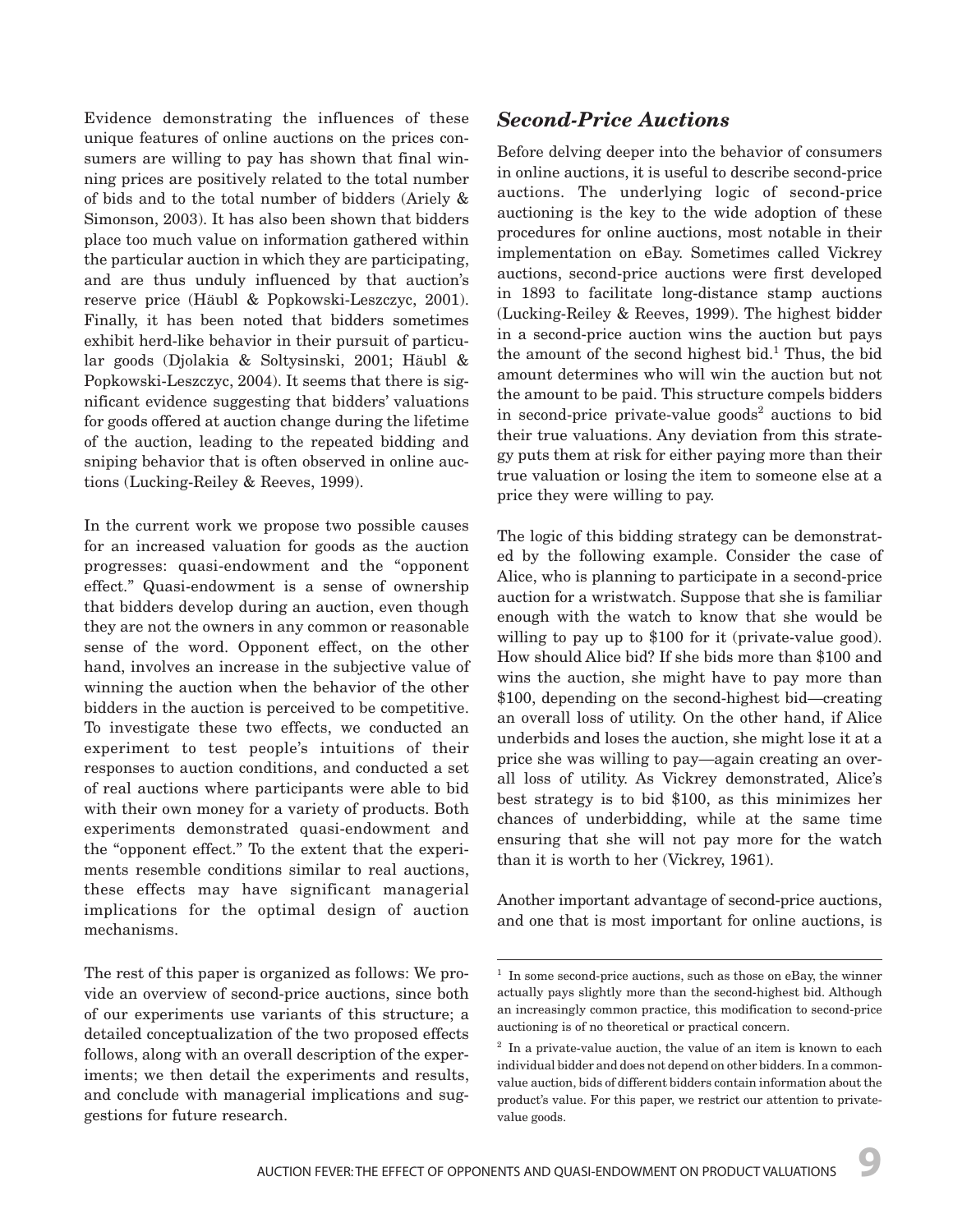Evidence demonstrating the influences of these unique features of online auctions on the prices consumers are willing to pay has shown that final winning prices are positively related to the total number of bids and to the total number of bidders (Ariely & Simonson, 2003). It has also been shown that bidders place too much value on information gathered within the particular auction in which they are participating, and are thus unduly influenced by that auction's reserve price (Häubl & Popkowski-Leszczyc, 2001). Finally, it has been noted that bidders sometimes exhibit herd-like behavior in their pursuit of particular goods (Djolakia & Soltysinski, 2001; Häubl & Popkowski-Leszczyc, 2004). It seems that there is significant evidence suggesting that bidders' valuations for goods offered at auction change during the lifetime of the auction, leading to the repeated bidding and sniping behavior that is often observed in online auctions (Lucking-Reiley & Reeves, 1999).

In the current work we propose two possible causes for an increased valuation for goods as the auction progresses: quasi-endowment and the "opponent effect." Quasi-endowment is a sense of ownership that bidders develop during an auction, even though they are not the owners in any common or reasonable sense of the word. Opponent effect, on the other hand, involves an increase in the subjective value of winning the auction when the behavior of the other bidders in the auction is perceived to be competitive. To investigate these two effects, we conducted an experiment to test people's intuitions of their responses to auction conditions, and conducted a set of real auctions where participants were able to bid with their own money for a variety of products. Both experiments demonstrated quasi-endowment and the "opponent effect." To the extent that the experiments resemble conditions similar to real auctions, these effects may have significant managerial implications for the optimal design of auction mechanisms.

The rest of this paper is organized as follows: We provide an overview of second-price auctions, since both of our experiments use variants of this structure; a detailed conceptualization of the two proposed effects follows, along with an overall description of the experiments; we then detail the experiments and results, and conclude with managerial implications and suggestions for future research.

### *Second-Price Auctions*

Before delving deeper into the behavior of consumers in online auctions, it is useful to describe second-price auctions. The underlying logic of second-price auctioning is the key to the wide adoption of these procedures for online auctions, most notable in their implementation on eBay. Sometimes called Vickrey auctions, second-price auctions were first developed in 1893 to facilitate long-distance stamp auctions (Lucking-Reiley & Reeves, 1999). The highest bidder in a second-price auction wins the auction but pays the amount of the second highest bid.<sup>1</sup> Thus, the bid amount determines who will win the auction but not the amount to be paid. This structure compels bidders in second-price private-value goods<sup>2</sup> auctions to bid their true valuations. Any deviation from this strategy puts them at risk for either paying more than their true valuation or losing the item to someone else at a price they were willing to pay.

The logic of this bidding strategy can be demonstrated by the following example. Consider the case of Alice, who is planning to participate in a second-price auction for a wristwatch. Suppose that she is familiar enough with the watch to know that she would be willing to pay up to \$100 for it (private-value good). How should Alice bid? If she bids more than \$100 and wins the auction, she might have to pay more than \$100, depending on the second-highest bid—creating an overall loss of utility. On the other hand, if Alice underbids and loses the auction, she might lose it at a price she was willing to pay—again creating an overall loss of utility. As Vickrey demonstrated, Alice's best strategy is to bid \$100, as this minimizes her chances of underbidding, while at the same time ensuring that she will not pay more for the watch than it is worth to her (Vickrey, 1961).

Another important advantage of second-price auctions, and one that is most important for online auctions, is

 $1$  In some second-price auctions, such as those on eBay, the winner actually pays slightly more than the second-highest bid. Although an increasingly common practice, this modification to second-price auctioning is of no theoretical or practical concern.

 $2\;\;$  In a private-value auction, the value of an item is known to each individual bidder and does not depend on other bidders. In a commonvalue auction, bids of different bidders contain information about the product's value. For this paper, we restrict our attention to privatevalue goods.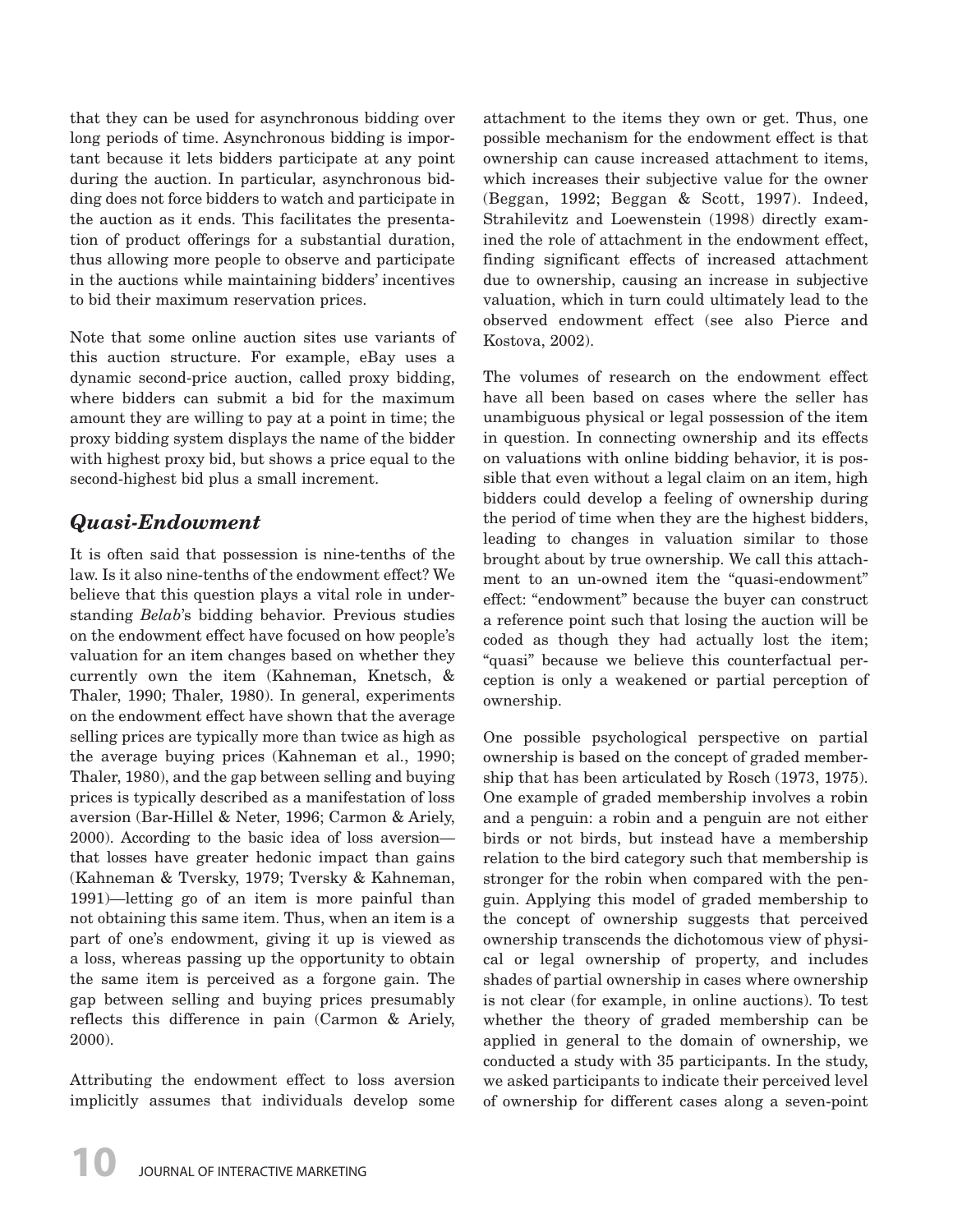that they can be used for asynchronous bidding over long periods of time. Asynchronous bidding is important because it lets bidders participate at any point during the auction. In particular, asynchronous bidding does not force bidders to watch and participate in the auction as it ends. This facilitates the presentation of product offerings for a substantial duration, thus allowing more people to observe and participate in the auctions while maintaining bidders' incentives to bid their maximum reservation prices.

Note that some online auction sites use variants of this auction structure. For example, eBay uses a dynamic second-price auction, called proxy bidding, where bidders can submit a bid for the maximum amount they are willing to pay at a point in time; the proxy bidding system displays the name of the bidder with highest proxy bid, but shows a price equal to the second-highest bid plus a small increment.

# *Quasi-Endowment*

It is often said that possession is nine-tenths of the law. Is it also nine-tenths of the endowment effect? We believe that this question plays a vital role in understanding *Belab*'s bidding behavior. Previous studies on the endowment effect have focused on how people's valuation for an item changes based on whether they currently own the item (Kahneman, Knetsch, & Thaler, 1990; Thaler, 1980). In general, experiments on the endowment effect have shown that the average selling prices are typically more than twice as high as the average buying prices (Kahneman et al., 1990; Thaler, 1980), and the gap between selling and buying prices is typically described as a manifestation of loss aversion (Bar-Hillel & Neter, 1996; Carmon & Ariely, 2000). According to the basic idea of loss aversion that losses have greater hedonic impact than gains (Kahneman & Tversky, 1979; Tversky & Kahneman, 1991)—letting go of an item is more painful than not obtaining this same item. Thus, when an item is a part of one's endowment, giving it up is viewed as a loss, whereas passing up the opportunity to obtain the same item is perceived as a forgone gain. The gap between selling and buying prices presumably reflects this difference in pain (Carmon & Ariely, 2000).

Attributing the endowment effect to loss aversion implicitly assumes that individuals develop some attachment to the items they own or get. Thus, one possible mechanism for the endowment effect is that ownership can cause increased attachment to items, which increases their subjective value for the owner (Beggan, 1992; Beggan & Scott, 1997). Indeed, Strahilevitz and Loewenstein (1998) directly examined the role of attachment in the endowment effect, finding significant effects of increased attachment due to ownership, causing an increase in subjective valuation, which in turn could ultimately lead to the observed endowment effect (see also Pierce and Kostova, 2002).

The volumes of research on the endowment effect have all been based on cases where the seller has unambiguous physical or legal possession of the item in question. In connecting ownership and its effects on valuations with online bidding behavior, it is possible that even without a legal claim on an item, high bidders could develop a feeling of ownership during the period of time when they are the highest bidders, leading to changes in valuation similar to those brought about by true ownership. We call this attachment to an un-owned item the "quasi-endowment" effect: "endowment" because the buyer can construct a reference point such that losing the auction will be coded as though they had actually lost the item; "quasi" because we believe this counterfactual perception is only a weakened or partial perception of ownership.

One possible psychological perspective on partial ownership is based on the concept of graded membership that has been articulated by Rosch (1973, 1975). One example of graded membership involves a robin and a penguin: a robin and a penguin are not either birds or not birds, but instead have a membership relation to the bird category such that membership is stronger for the robin when compared with the penguin. Applying this model of graded membership to the concept of ownership suggests that perceived ownership transcends the dichotomous view of physical or legal ownership of property, and includes shades of partial ownership in cases where ownership is not clear (for example, in online auctions). To test whether the theory of graded membership can be applied in general to the domain of ownership, we conducted a study with 35 participants. In the study, we asked participants to indicate their perceived level of ownership for different cases along a seven-point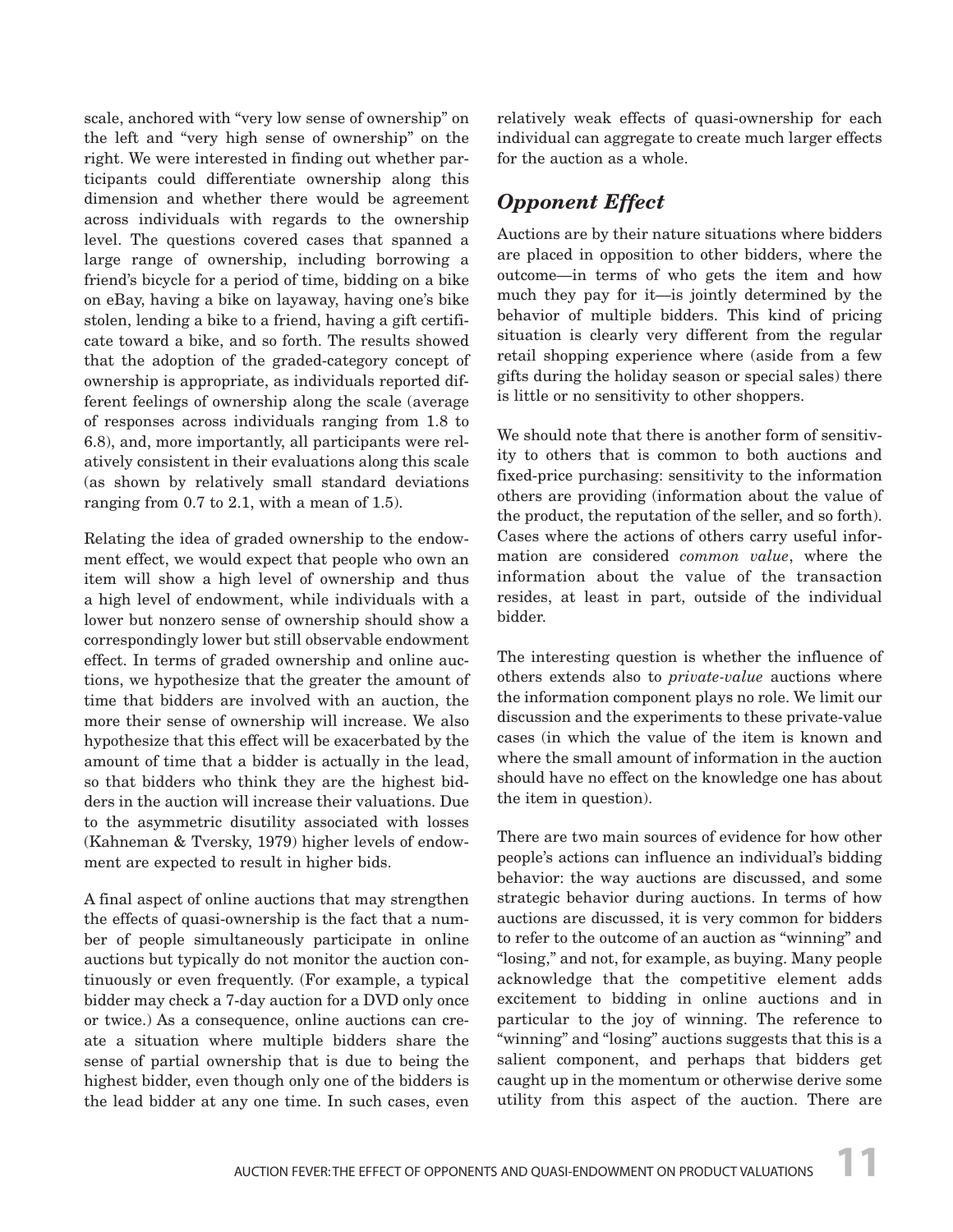scale, anchored with "very low sense of ownership" on the left and "very high sense of ownership" on the right. We were interested in finding out whether participants could differentiate ownership along this dimension and whether there would be agreement across individuals with regards to the ownership level. The questions covered cases that spanned a large range of ownership, including borrowing a friend's bicycle for a period of time, bidding on a bike on eBay, having a bike on layaway, having one's bike stolen, lending a bike to a friend, having a gift certificate toward a bike, and so forth. The results showed that the adoption of the graded-category concept of ownership is appropriate, as individuals reported different feelings of ownership along the scale (average of responses across individuals ranging from 1.8 to 6.8), and, more importantly, all participants were relatively consistent in their evaluations along this scale (as shown by relatively small standard deviations ranging from 0.7 to 2.1, with a mean of 1.5).

Relating the idea of graded ownership to the endowment effect, we would expect that people who own an item will show a high level of ownership and thus a high level of endowment, while individuals with a lower but nonzero sense of ownership should show a correspondingly lower but still observable endowment effect. In terms of graded ownership and online auctions, we hypothesize that the greater the amount of time that bidders are involved with an auction, the more their sense of ownership will increase. We also hypothesize that this effect will be exacerbated by the amount of time that a bidder is actually in the lead, so that bidders who think they are the highest bidders in the auction will increase their valuations. Due to the asymmetric disutility associated with losses (Kahneman & Tversky, 1979) higher levels of endowment are expected to result in higher bids.

A final aspect of online auctions that may strengthen the effects of quasi-ownership is the fact that a number of people simultaneously participate in online auctions but typically do not monitor the auction continuously or even frequently. (For example, a typical bidder may check a 7-day auction for a DVD only once or twice.) As a consequence, online auctions can create a situation where multiple bidders share the sense of partial ownership that is due to being the highest bidder, even though only one of the bidders is the lead bidder at any one time. In such cases, even relatively weak effects of quasi-ownership for each individual can aggregate to create much larger effects for the auction as a whole.

# *Opponent Effect*

Auctions are by their nature situations where bidders are placed in opposition to other bidders, where the outcome—in terms of who gets the item and how much they pay for it—is jointly determined by the behavior of multiple bidders. This kind of pricing situation is clearly very different from the regular retail shopping experience where (aside from a few gifts during the holiday season or special sales) there is little or no sensitivity to other shoppers.

We should note that there is another form of sensitivity to others that is common to both auctions and fixed-price purchasing: sensitivity to the information others are providing (information about the value of the product, the reputation of the seller, and so forth). Cases where the actions of others carry useful information are considered *common value*, where the information about the value of the transaction resides, at least in part, outside of the individual bidder.

The interesting question is whether the influence of others extends also to *private-value* auctions where the information component plays no role. We limit our discussion and the experiments to these private-value cases (in which the value of the item is known and where the small amount of information in the auction should have no effect on the knowledge one has about the item in question).

There are two main sources of evidence for how other people's actions can influence an individual's bidding behavior: the way auctions are discussed, and some strategic behavior during auctions. In terms of how auctions are discussed, it is very common for bidders to refer to the outcome of an auction as "winning" and "losing," and not, for example, as buying. Many people acknowledge that the competitive element adds excitement to bidding in online auctions and in particular to the joy of winning. The reference to "winning" and "losing" auctions suggests that this is a salient component, and perhaps that bidders get caught up in the momentum or otherwise derive some utility from this aspect of the auction. There are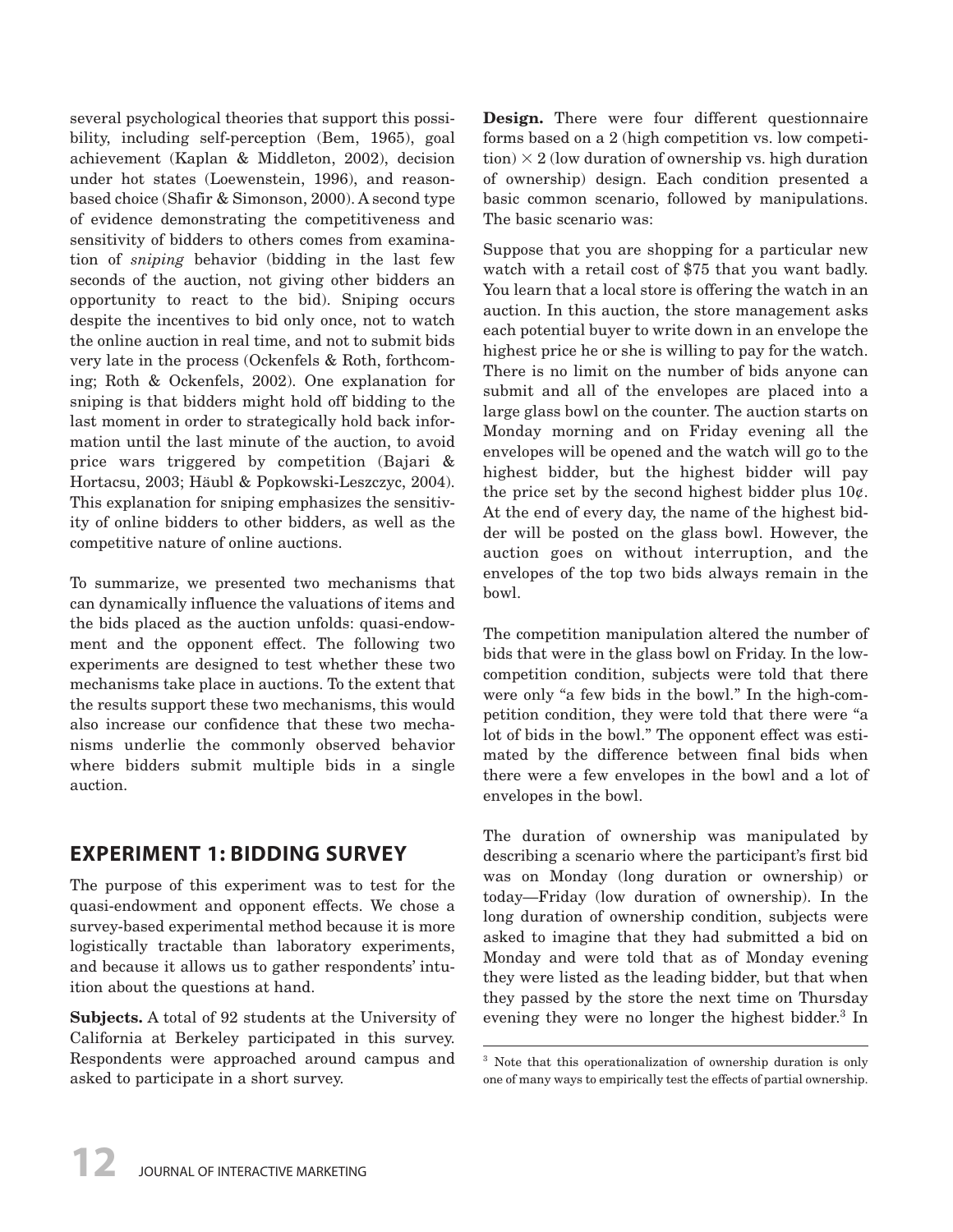several psychological theories that support this possibility, including self-perception (Bem, 1965), goal achievement (Kaplan & Middleton, 2002), decision under hot states (Loewenstein, 1996), and reasonbased choice (Shafir & Simonson, 2000). A second type of evidence demonstrating the competitiveness and sensitivity of bidders to others comes from examination of *sniping* behavior (bidding in the last few seconds of the auction, not giving other bidders an opportunity to react to the bid). Sniping occurs despite the incentives to bid only once, not to watch the online auction in real time, and not to submit bids very late in the process (Ockenfels & Roth, forthcoming; Roth & Ockenfels, 2002). One explanation for sniping is that bidders might hold off bidding to the last moment in order to strategically hold back information until the last minute of the auction, to avoid price wars triggered by competition (Bajari & Hortacsu, 2003; Häubl & Popkowski-Leszczyc, 2004). This explanation for sniping emphasizes the sensitivity of online bidders to other bidders, as well as the competitive nature of online auctions.

To summarize, we presented two mechanisms that can dynamically influence the valuations of items and the bids placed as the auction unfolds: quasi-endowment and the opponent effect. The following two experiments are designed to test whether these two mechanisms take place in auctions. To the extent that the results support these two mechanisms, this would also increase our confidence that these two mechanisms underlie the commonly observed behavior where bidders submit multiple bids in a single auction.

# **EXPERIMENT 1: BIDDING SURVEY**

The purpose of this experiment was to test for the quasi-endowment and opponent effects. We chose a survey-based experimental method because it is more logistically tractable than laboratory experiments, and because it allows us to gather respondents' intuition about the questions at hand.

**Subjects.** A total of 92 students at the University of California at Berkeley participated in this survey. Respondents were approached around campus and asked to participate in a short survey.

**Design.** There were four different questionnaire forms based on a 2 (high competition vs. low competition)  $\times$  2 (low duration of ownership vs. high duration of ownership) design. Each condition presented a basic common scenario, followed by manipulations. The basic scenario was:

Suppose that you are shopping for a particular new watch with a retail cost of \$75 that you want badly. You learn that a local store is offering the watch in an auction. In this auction, the store management asks each potential buyer to write down in an envelope the highest price he or she is willing to pay for the watch. There is no limit on the number of bids anyone can submit and all of the envelopes are placed into a large glass bowl on the counter. The auction starts on Monday morning and on Friday evening all the envelopes will be opened and the watch will go to the highest bidder, but the highest bidder will pay the price set by the second highest bidder plus  $10¢$ . At the end of every day, the name of the highest bidder will be posted on the glass bowl. However, the auction goes on without interruption, and the envelopes of the top two bids always remain in the bowl.

The competition manipulation altered the number of bids that were in the glass bowl on Friday. In the lowcompetition condition, subjects were told that there were only "a few bids in the bowl." In the high-competition condition, they were told that there were "a lot of bids in the bowl." The opponent effect was estimated by the difference between final bids when there were a few envelopes in the bowl and a lot of envelopes in the bowl.

The duration of ownership was manipulated by describing a scenario where the participant's first bid was on Monday (long duration or ownership) or today—Friday (low duration of ownership). In the long duration of ownership condition, subjects were asked to imagine that they had submitted a bid on Monday and were told that as of Monday evening they were listed as the leading bidder, but that when they passed by the store the next time on Thursday evening they were no longer the highest bidder.<sup>3</sup> In

<sup>&</sup>lt;sup>3</sup> Note that this operationalization of ownership duration is only one of many ways to empirically test the effects of partial ownership.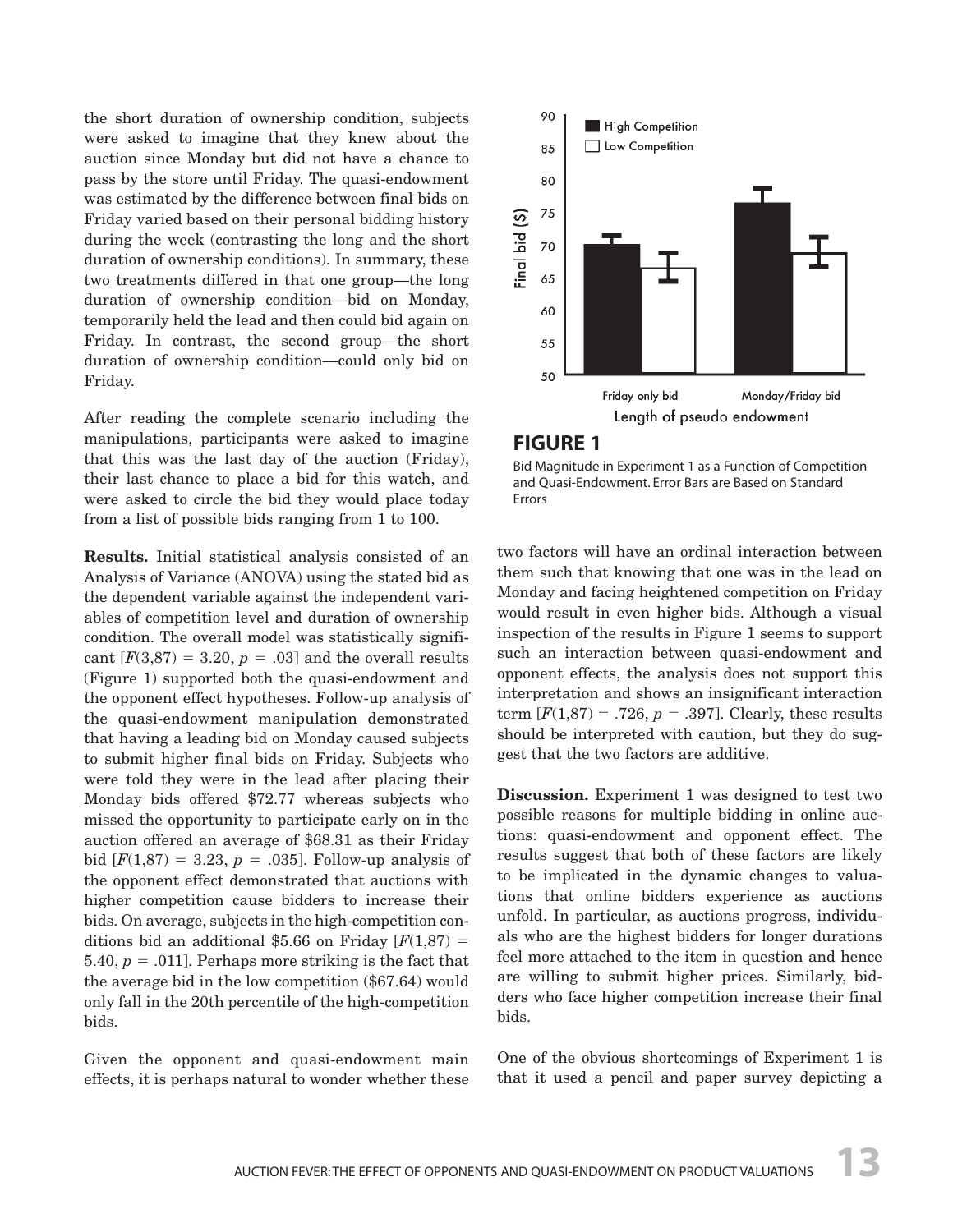the short duration of ownership condition, subjects were asked to imagine that they knew about the auction since Monday but did not have a chance to pass by the store until Friday. The quasi-endowment was estimated by the difference between final bids on Friday varied based on their personal bidding history during the week (contrasting the long and the short duration of ownership conditions). In summary, these two treatments differed in that one group—the long duration of ownership condition—bid on Monday, temporarily held the lead and then could bid again on Friday. In contrast, the second group—the short duration of ownership condition—could only bid on Friday.

After reading the complete scenario including the manipulations, participants were asked to imagine that this was the last day of the auction (Friday), their last chance to place a bid for this watch, and were asked to circle the bid they would place today from a list of possible bids ranging from 1 to 100.

**Results.** Initial statistical analysis consisted of an Analysis of Variance (ANOVA) using the stated bid as the dependent variable against the independent variables of competition level and duration of ownership condition. The overall model was statistically significant  $[F(3,87) = 3.20, p = .03]$  and the overall results (Figure 1) supported both the quasi-endowment and the opponent effect hypotheses. Follow-up analysis of the quasi-endowment manipulation demonstrated that having a leading bid on Monday caused subjects to submit higher final bids on Friday. Subjects who were told they were in the lead after placing their Monday bids offered \$72.77 whereas subjects who missed the opportunity to participate early on in the auction offered an average of \$68.31 as their Friday bid  $[F(1,87) = 3.23, p = .035]$ . Follow-up analysis of the opponent effect demonstrated that auctions with higher competition cause bidders to increase their bids. On average, subjects in the high-competition conditions bid an additional \$5.66 on Friday  $[F(1,87) =$  $5.40, p = .011$ . Perhaps more striking is the fact that the average bid in the low competition (\$67.64) would only fall in the 20th percentile of the high-competition bids.

Given the opponent and quasi-endowment main effects, it is perhaps natural to wonder whether these



#### **FIGURE 1**

Bid Magnitude in Experiment 1 as a Function of Competition and Quasi-Endowment. Error Bars are Based on Standard Errors

two factors will have an ordinal interaction between them such that knowing that one was in the lead on Monday and facing heightened competition on Friday would result in even higher bids. Although a visual inspection of the results in Figure 1 seems to support such an interaction between quasi-endowment and opponent effects, the analysis does not support this interpretation and shows an insignificant interaction term  $[F(1,87) = .726, p = .397]$ . Clearly, these results should be interpreted with caution, but they do suggest that the two factors are additive.

**Discussion.** Experiment 1 was designed to test two possible reasons for multiple bidding in online auctions: quasi-endowment and opponent effect. The results suggest that both of these factors are likely to be implicated in the dynamic changes to valuations that online bidders experience as auctions unfold. In particular, as auctions progress, individuals who are the highest bidders for longer durations feel more attached to the item in question and hence are willing to submit higher prices. Similarly, bidders who face higher competition increase their final bids.

One of the obvious shortcomings of Experiment 1 is that it used a pencil and paper survey depicting a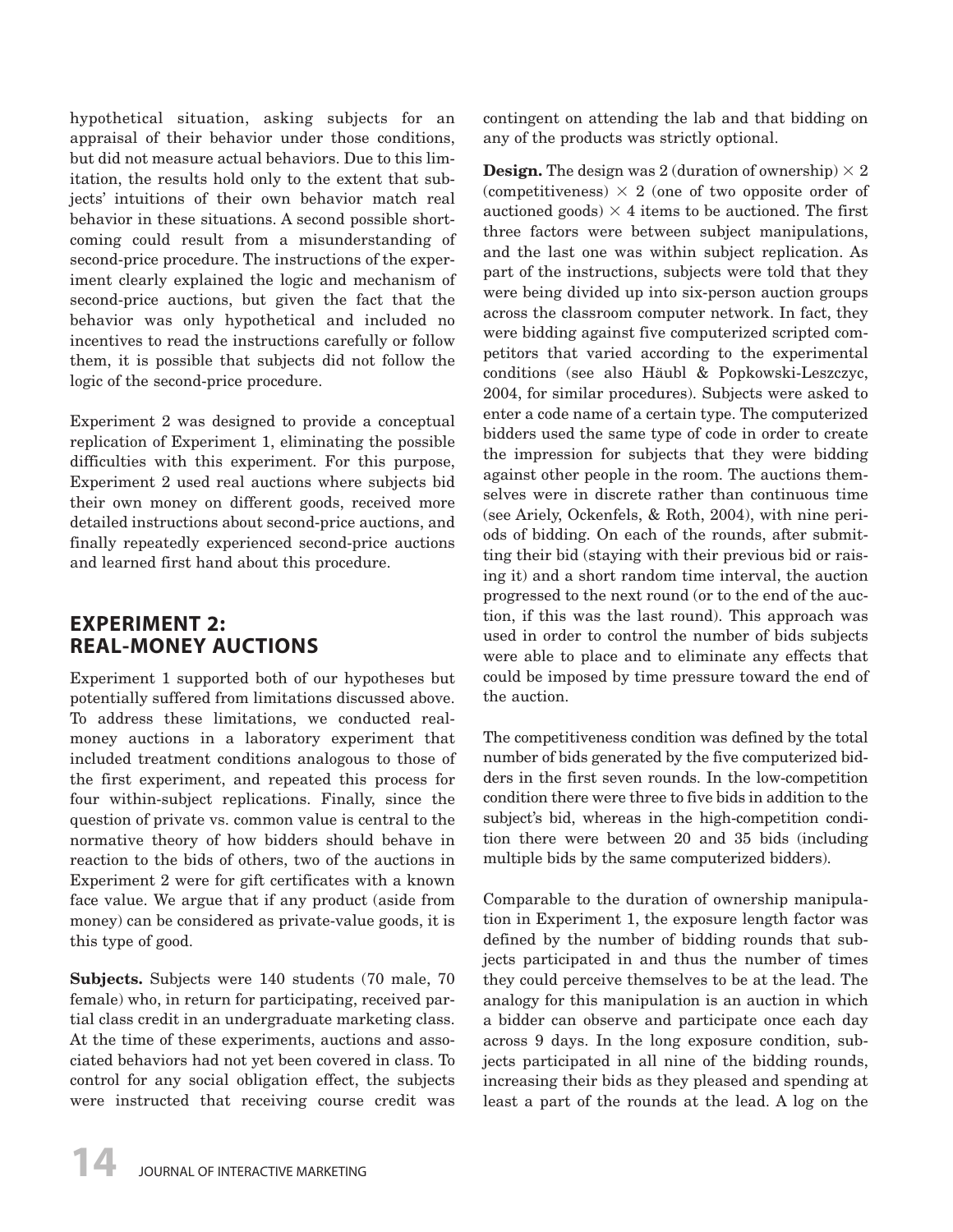hypothetical situation, asking subjects for an appraisal of their behavior under those conditions, but did not measure actual behaviors. Due to this limitation, the results hold only to the extent that subjects' intuitions of their own behavior match real behavior in these situations. A second possible shortcoming could result from a misunderstanding of second-price procedure. The instructions of the experiment clearly explained the logic and mechanism of second-price auctions, but given the fact that the behavior was only hypothetical and included no incentives to read the instructions carefully or follow them, it is possible that subjects did not follow the logic of the second-price procedure.

Experiment 2 was designed to provide a conceptual replication of Experiment 1, eliminating the possible difficulties with this experiment. For this purpose, Experiment 2 used real auctions where subjects bid their own money on different goods, received more detailed instructions about second-price auctions, and finally repeatedly experienced second-price auctions and learned first hand about this procedure.

## **EXPERIMENT 2: REAL-MONEY AUCTIONS**

Experiment 1 supported both of our hypotheses but potentially suffered from limitations discussed above. To address these limitations, we conducted realmoney auctions in a laboratory experiment that included treatment conditions analogous to those of the first experiment, and repeated this process for four within-subject replications. Finally, since the question of private vs. common value is central to the normative theory of how bidders should behave in reaction to the bids of others, two of the auctions in Experiment 2 were for gift certificates with a known face value. We argue that if any product (aside from money) can be considered as private-value goods, it is this type of good.

**Subjects.** Subjects were 140 students (70 male, 70 female) who, in return for participating, received partial class credit in an undergraduate marketing class. At the time of these experiments, auctions and associated behaviors had not yet been covered in class. To control for any social obligation effect, the subjects were instructed that receiving course credit was contingent on attending the lab and that bidding on any of the products was strictly optional.

**Design.** The design was 2 (duration of ownership)  $\times$  2 (competitiveness)  $\times$  2 (one of two opposite order of auctioned goods)  $\times$  4 items to be auctioned. The first three factors were between subject manipulations, and the last one was within subject replication. As part of the instructions, subjects were told that they were being divided up into six-person auction groups across the classroom computer network. In fact, they were bidding against five computerized scripted competitors that varied according to the experimental conditions (see also Häubl & Popkowski-Leszczyc, 2004, for similar procedures). Subjects were asked to enter a code name of a certain type. The computerized bidders used the same type of code in order to create the impression for subjects that they were bidding against other people in the room. The auctions themselves were in discrete rather than continuous time (see Ariely, Ockenfels, & Roth, 2004), with nine periods of bidding. On each of the rounds, after submitting their bid (staying with their previous bid or raising it) and a short random time interval, the auction progressed to the next round (or to the end of the auction, if this was the last round). This approach was used in order to control the number of bids subjects were able to place and to eliminate any effects that could be imposed by time pressure toward the end of the auction.

The competitiveness condition was defined by the total number of bids generated by the five computerized bidders in the first seven rounds. In the low-competition condition there were three to five bids in addition to the subject's bid, whereas in the high-competition condition there were between 20 and 35 bids (including multiple bids by the same computerized bidders).

Comparable to the duration of ownership manipulation in Experiment 1, the exposure length factor was defined by the number of bidding rounds that subjects participated in and thus the number of times they could perceive themselves to be at the lead. The analogy for this manipulation is an auction in which a bidder can observe and participate once each day across 9 days. In the long exposure condition, subjects participated in all nine of the bidding rounds, increasing their bids as they pleased and spending at least a part of the rounds at the lead. A log on the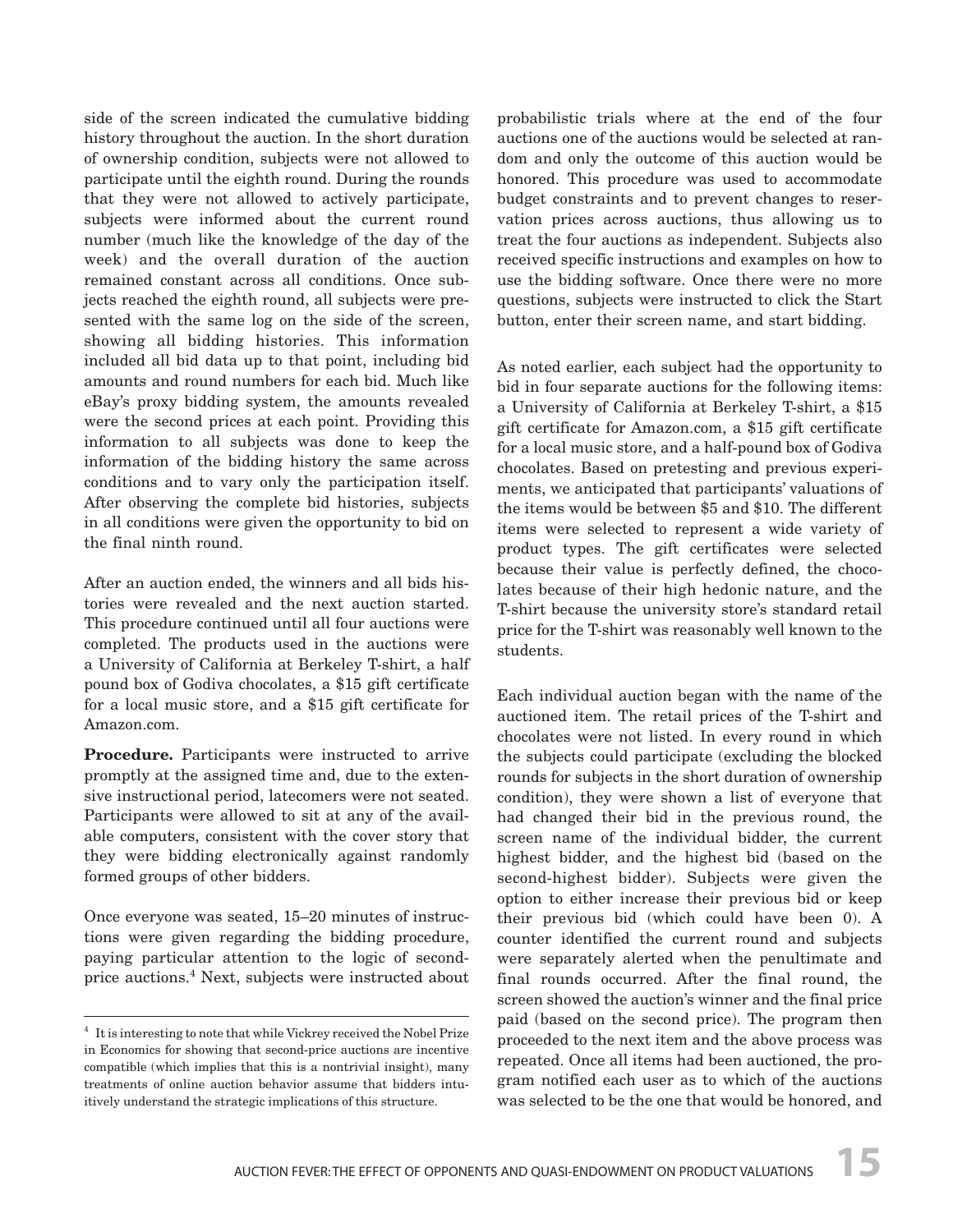side of the screen indicated the cumulative bidding history throughout the auction. In the short duration of ownership condition, subjects were not allowed to participate until the eighth round. During the rounds that they were not allowed to actively participate, subjects were informed about the current round number (much like the knowledge of the day of the week) and the overall duration of the auction remained constant across all conditions. Once subjects reached the eighth round, all subjects were presented with the same log on the side of the screen, showing all bidding histories. This information included all bid data up to that point, including bid amounts and round numbers for each bid. Much like eBay's proxy bidding system, the amounts revealed were the second prices at each point. Providing this information to all subjects was done to keep the information of the bidding history the same across conditions and to vary only the participation itself. After observing the complete bid histories, subjects in all conditions were given the opportunity to bid on the final ninth round.

After an auction ended, the winners and all bids histories were revealed and the next auction started. This procedure continued until all four auctions were completed. The products used in the auctions were a University of California at Berkeley T-shirt, a half pound box of Godiva chocolates, a \$15 gift certificate for a local music store, and a \$15 gift certificate for Amazon.com.

**Procedure.** Participants were instructed to arrive promptly at the assigned time and, due to the extensive instructional period, latecomers were not seated. Participants were allowed to sit at any of the available computers, consistent with the cover story that they were bidding electronically against randomly formed groups of other bidders.

Once everyone was seated, 15–20 minutes of instructions were given regarding the bidding procedure, paying particular attention to the logic of secondprice auctions.4 Next, subjects were instructed about probabilistic trials where at the end of the four auctions one of the auctions would be selected at random and only the outcome of this auction would be honored. This procedure was used to accommodate budget constraints and to prevent changes to reservation prices across auctions, thus allowing us to treat the four auctions as independent. Subjects also received specific instructions and examples on how to use the bidding software. Once there were no more questions, subjects were instructed to click the Start button, enter their screen name, and start bidding.

As noted earlier, each subject had the opportunity to bid in four separate auctions for the following items: a University of California at Berkeley T-shirt, a \$15 gift certificate for Amazon.com, a \$15 gift certificate for a local music store, and a half-pound box of Godiva chocolates. Based on pretesting and previous experiments, we anticipated that participants' valuations of the items would be between \$5 and \$10. The different items were selected to represent a wide variety of product types. The gift certificates were selected because their value is perfectly defined, the chocolates because of their high hedonic nature, and the T-shirt because the university store's standard retail price for the T-shirt was reasonably well known to the students.

Each individual auction began with the name of the auctioned item. The retail prices of the T-shirt and chocolates were not listed. In every round in which the subjects could participate (excluding the blocked rounds for subjects in the short duration of ownership condition), they were shown a list of everyone that had changed their bid in the previous round, the screen name of the individual bidder, the current highest bidder, and the highest bid (based on the second-highest bidder). Subjects were given the option to either increase their previous bid or keep their previous bid (which could have been 0). A counter identified the current round and subjects were separately alerted when the penultimate and final rounds occurred. After the final round, the screen showed the auction's winner and the final price paid (based on the second price). The program then proceeded to the next item and the above process was repeated. Once all items had been auctioned, the program notified each user as to which of the auctions was selected to be the one that would be honored, and

<sup>4</sup> It is interesting to note that while Vickrey received the Nobel Prize in Economics for showing that second-price auctions are incentive compatible (which implies that this is a nontrivial insight), many treatments of online auction behavior assume that bidders intuitively understand the strategic implications of this structure.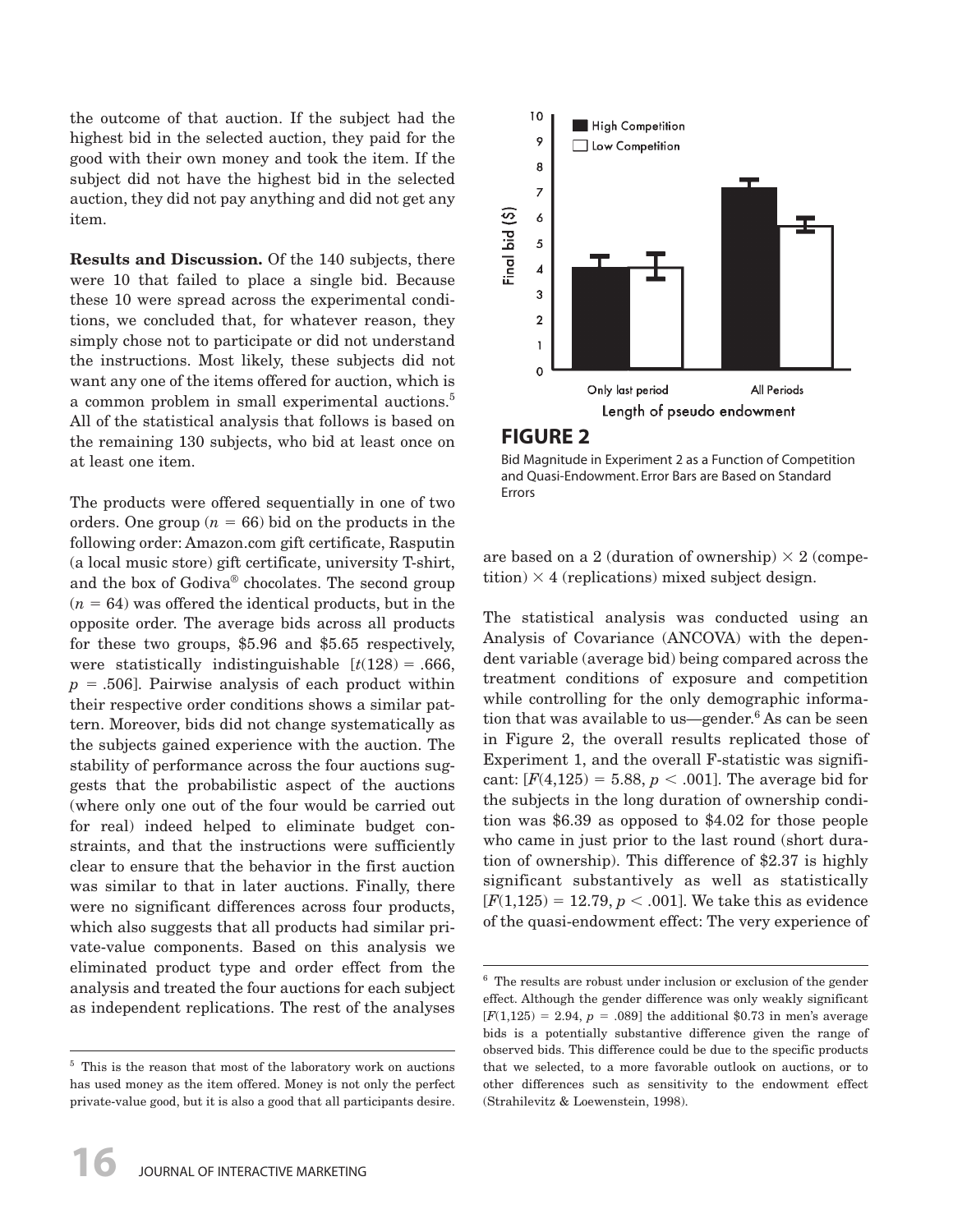the outcome of that auction. If the subject had the highest bid in the selected auction, they paid for the good with their own money and took the item. If the subject did not have the highest bid in the selected auction, they did not pay anything and did not get any item.

**Results and Discussion.** Of the 140 subjects, there were 10 that failed to place a single bid. Because these 10 were spread across the experimental conditions, we concluded that, for whatever reason, they simply chose not to participate or did not understand the instructions. Most likely, these subjects did not want any one of the items offered for auction, which is a common problem in small experimental auctions.<sup>5</sup> All of the statistical analysis that follows is based on the remaining 130 subjects, who bid at least once on at least one item.

The products were offered sequentially in one of two orders. One group  $(n = 66)$  bid on the products in the following order: Amazon.com gift certificate, Rasputin (a local music store) gift certificate, university T-shirt, and the box of Godiva® chocolates. The second group  $(n = 64)$  was offered the identical products, but in the opposite order. The average bids across all products for these two groups, \$5.96 and \$5.65 respectively, were statistically indistinguishable  $[t(128) = .666]$ ,  $p = .506$ ]. Pairwise analysis of each product within their respective order conditions shows a similar pattern. Moreover, bids did not change systematically as the subjects gained experience with the auction. The stability of performance across the four auctions suggests that the probabilistic aspect of the auctions (where only one out of the four would be carried out for real) indeed helped to eliminate budget constraints, and that the instructions were sufficiently clear to ensure that the behavior in the first auction was similar to that in later auctions. Finally, there were no significant differences across four products, which also suggests that all products had similar private-value components. Based on this analysis we eliminated product type and order effect from the analysis and treated the four auctions for each subject as independent replications. The rest of the analyses

 $^5$  This is the reason that most of the laboratory work on auctions has used money as the item offered. Money is not only the perfect private-value good, but it is also a good that all participants desire.



#### **FIGURE 2**

Bid Magnitude in Experiment 2 as a Function of Competition and Quasi-Endowment. Error Bars are Based on Standard Errors

are based on a 2 (duration of ownership)  $\times$  2 (competition)  $\times$  4 (replications) mixed subject design.

The statistical analysis was conducted using an Analysis of Covariance (ANCOVA) with the dependent variable (average bid) being compared across the treatment conditions of exposure and competition while controlling for the only demographic information that was available to us—gender. $6$  As can be seen in Figure 2, the overall results replicated those of Experiment 1, and the overall F-statistic was significant:  $[F(4,125) = 5.88, p < .001]$ . The average bid for the subjects in the long duration of ownership condition was \$6.39 as opposed to \$4.02 for those people who came in just prior to the last round (short duration of ownership). This difference of \$2.37 is highly significant substantively as well as statistically  $[F(1,125) = 12.79, p < .001]$ . We take this as evidence of the quasi-endowment effect: The very experience of

<sup>6</sup> The results are robust under inclusion or exclusion of the gender effect. Although the gender difference was only weakly significant  $[F(1,125) = 2.94, p = .089]$  the additional \$0.73 in men's average bids is a potentially substantive difference given the range of observed bids. This difference could be due to the specific products that we selected, to a more favorable outlook on auctions, or to other differences such as sensitivity to the endowment effect (Strahilevitz & Loewenstein, 1998).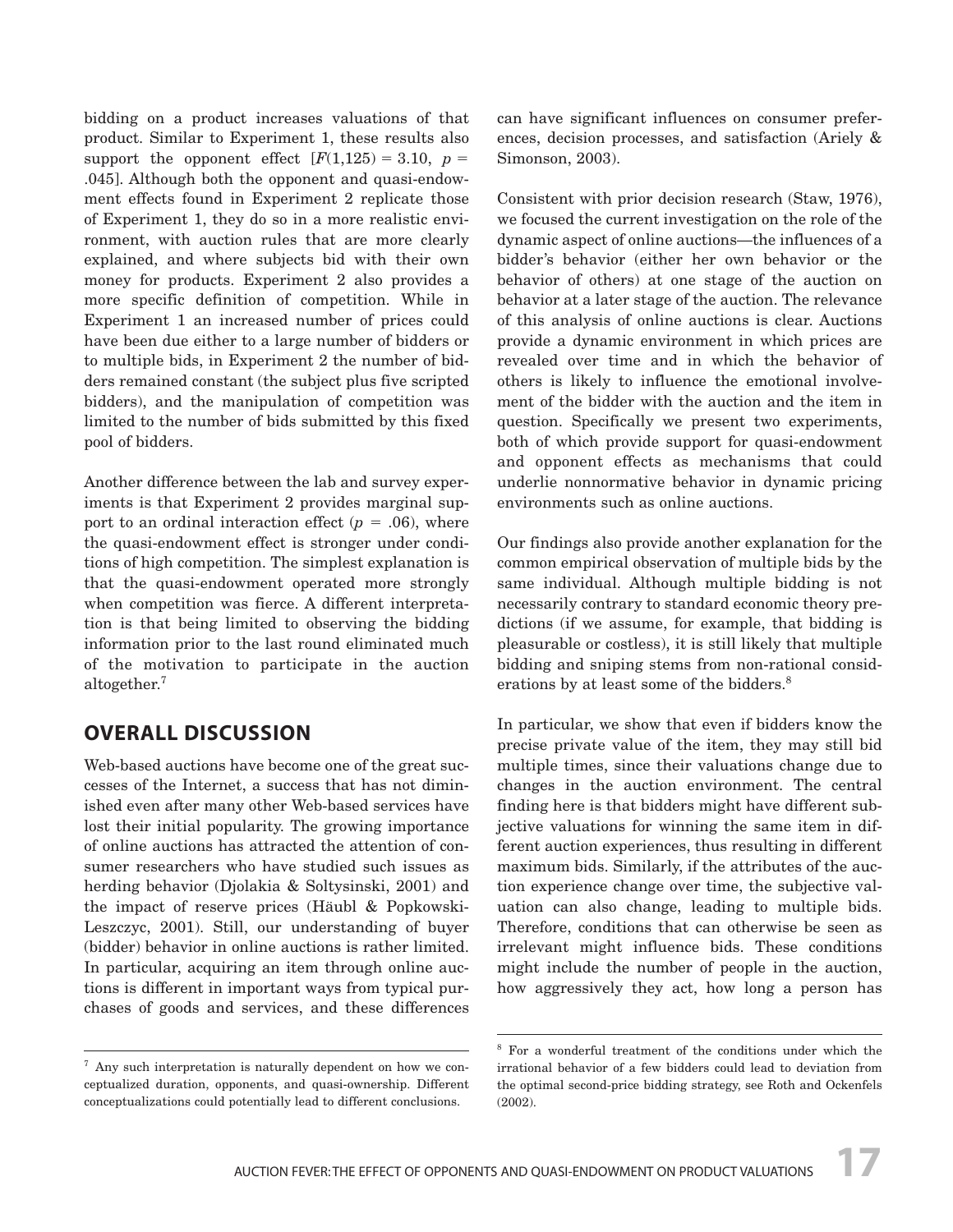bidding on a product increases valuations of that product. Similar to Experiment 1, these results also support the opponent effect  $[F(1,125) = 3.10, p =$ .045]. Although both the opponent and quasi-endowment effects found in Experiment 2 replicate those of Experiment 1, they do so in a more realistic environment, with auction rules that are more clearly explained, and where subjects bid with their own money for products. Experiment 2 also provides a more specific definition of competition. While in Experiment 1 an increased number of prices could have been due either to a large number of bidders or to multiple bids, in Experiment 2 the number of bidders remained constant (the subject plus five scripted bidders), and the manipulation of competition was limited to the number of bids submitted by this fixed pool of bidders.

Another difference between the lab and survey experiments is that Experiment 2 provides marginal support to an ordinal interaction effect  $(p = .06)$ , where the quasi-endowment effect is stronger under conditions of high competition. The simplest explanation is that the quasi-endowment operated more strongly when competition was fierce. A different interpretation is that being limited to observing the bidding information prior to the last round eliminated much of the motivation to participate in the auction altogether.<sup>7</sup>

## **OVERALL DISCUSSION**

Web-based auctions have become one of the great successes of the Internet, a success that has not diminished even after many other Web-based services have lost their initial popularity. The growing importance of online auctions has attracted the attention of consumer researchers who have studied such issues as herding behavior (Djolakia & Soltysinski, 2001) and the impact of reserve prices (Häubl & Popkowski-Leszczyc, 2001). Still, our understanding of buyer (bidder) behavior in online auctions is rather limited. In particular, acquiring an item through online auctions is different in important ways from typical purchases of goods and services, and these differences

<sup>7</sup> Any such interpretation is naturally dependent on how we conceptualized duration, opponents, and quasi-ownership. Different conceptualizations could potentially lead to different conclusions.

can have significant influences on consumer preferences, decision processes, and satisfaction (Ariely & Simonson, 2003).

Consistent with prior decision research (Staw, 1976), we focused the current investigation on the role of the dynamic aspect of online auctions—the influences of a bidder's behavior (either her own behavior or the behavior of others) at one stage of the auction on behavior at a later stage of the auction. The relevance of this analysis of online auctions is clear. Auctions provide a dynamic environment in which prices are revealed over time and in which the behavior of others is likely to influence the emotional involvement of the bidder with the auction and the item in question. Specifically we present two experiments, both of which provide support for quasi-endowment and opponent effects as mechanisms that could underlie nonnormative behavior in dynamic pricing environments such as online auctions.

Our findings also provide another explanation for the common empirical observation of multiple bids by the same individual. Although multiple bidding is not necessarily contrary to standard economic theory predictions (if we assume, for example, that bidding is pleasurable or costless), it is still likely that multiple bidding and sniping stems from non-rational considerations by at least some of the bidders.<sup>8</sup>

In particular, we show that even if bidders know the precise private value of the item, they may still bid multiple times, since their valuations change due to changes in the auction environment. The central finding here is that bidders might have different subjective valuations for winning the same item in different auction experiences, thus resulting in different maximum bids. Similarly, if the attributes of the auction experience change over time, the subjective valuation can also change, leading to multiple bids. Therefore, conditions that can otherwise be seen as irrelevant might influence bids. These conditions might include the number of people in the auction, how aggressively they act, how long a person has

<sup>8</sup> For a wonderful treatment of the conditions under which the irrational behavior of a few bidders could lead to deviation from the optimal second-price bidding strategy, see Roth and Ockenfels  $(2002)$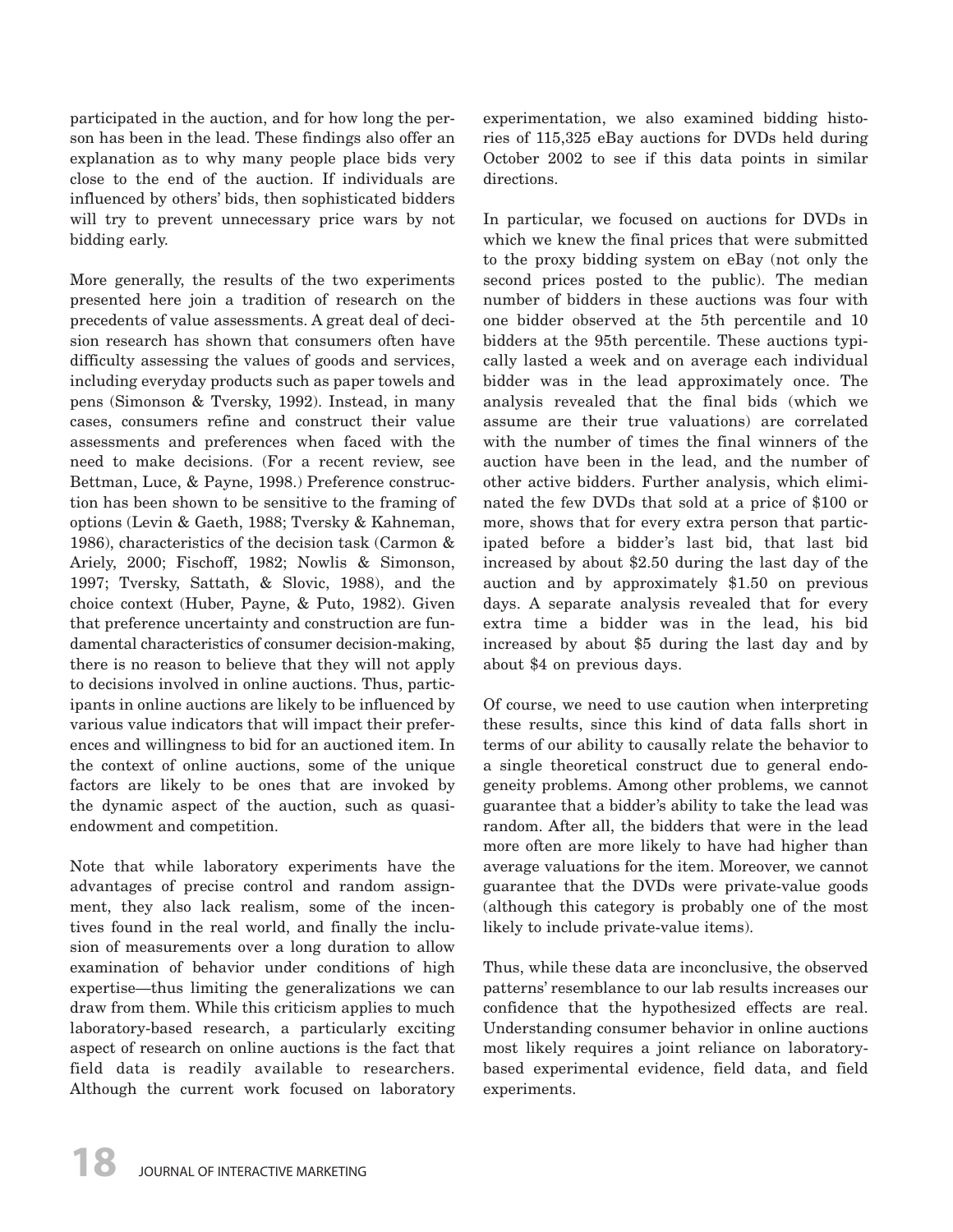participated in the auction, and for how long the person has been in the lead. These findings also offer an explanation as to why many people place bids very close to the end of the auction. If individuals are influenced by others' bids, then sophisticated bidders will try to prevent unnecessary price wars by not bidding early.

More generally, the results of the two experiments presented here join a tradition of research on the precedents of value assessments. A great deal of decision research has shown that consumers often have difficulty assessing the values of goods and services, including everyday products such as paper towels and pens (Simonson & Tversky, 1992). Instead, in many cases, consumers refine and construct their value assessments and preferences when faced with the need to make decisions. (For a recent review, see Bettman, Luce, & Payne, 1998.) Preference construction has been shown to be sensitive to the framing of options (Levin & Gaeth, 1988; Tversky & Kahneman, 1986), characteristics of the decision task (Carmon & Ariely, 2000; Fischoff, 1982; Nowlis & Simonson, 1997; Tversky, Sattath, & Slovic, 1988), and the choice context (Huber, Payne, & Puto, 1982). Given that preference uncertainty and construction are fundamental characteristics of consumer decision-making, there is no reason to believe that they will not apply to decisions involved in online auctions. Thus, participants in online auctions are likely to be influenced by various value indicators that will impact their preferences and willingness to bid for an auctioned item. In the context of online auctions, some of the unique factors are likely to be ones that are invoked by the dynamic aspect of the auction, such as quasiendowment and competition.

Note that while laboratory experiments have the advantages of precise control and random assignment, they also lack realism, some of the incentives found in the real world, and finally the inclusion of measurements over a long duration to allow examination of behavior under conditions of high expertise—thus limiting the generalizations we can draw from them. While this criticism applies to much laboratory-based research, a particularly exciting aspect of research on online auctions is the fact that field data is readily available to researchers. Although the current work focused on laboratory

experimentation, we also examined bidding histories of 115,325 eBay auctions for DVDs held during October 2002 to see if this data points in similar directions.

In particular, we focused on auctions for DVDs in which we knew the final prices that were submitted to the proxy bidding system on eBay (not only the second prices posted to the public). The median number of bidders in these auctions was four with one bidder observed at the 5th percentile and 10 bidders at the 95th percentile. These auctions typically lasted a week and on average each individual bidder was in the lead approximately once. The analysis revealed that the final bids (which we assume are their true valuations) are correlated with the number of times the final winners of the auction have been in the lead, and the number of other active bidders. Further analysis, which eliminated the few DVDs that sold at a price of \$100 or more, shows that for every extra person that participated before a bidder's last bid, that last bid increased by about \$2.50 during the last day of the auction and by approximately \$1.50 on previous days. A separate analysis revealed that for every extra time a bidder was in the lead, his bid increased by about \$5 during the last day and by about \$4 on previous days.

Of course, we need to use caution when interpreting these results, since this kind of data falls short in terms of our ability to causally relate the behavior to a single theoretical construct due to general endogeneity problems. Among other problems, we cannot guarantee that a bidder's ability to take the lead was random. After all, the bidders that were in the lead more often are more likely to have had higher than average valuations for the item. Moreover, we cannot guarantee that the DVDs were private-value goods (although this category is probably one of the most likely to include private-value items).

Thus, while these data are inconclusive, the observed patterns' resemblance to our lab results increases our confidence that the hypothesized effects are real. Understanding consumer behavior in online auctions most likely requires a joint reliance on laboratorybased experimental evidence, field data, and field experiments.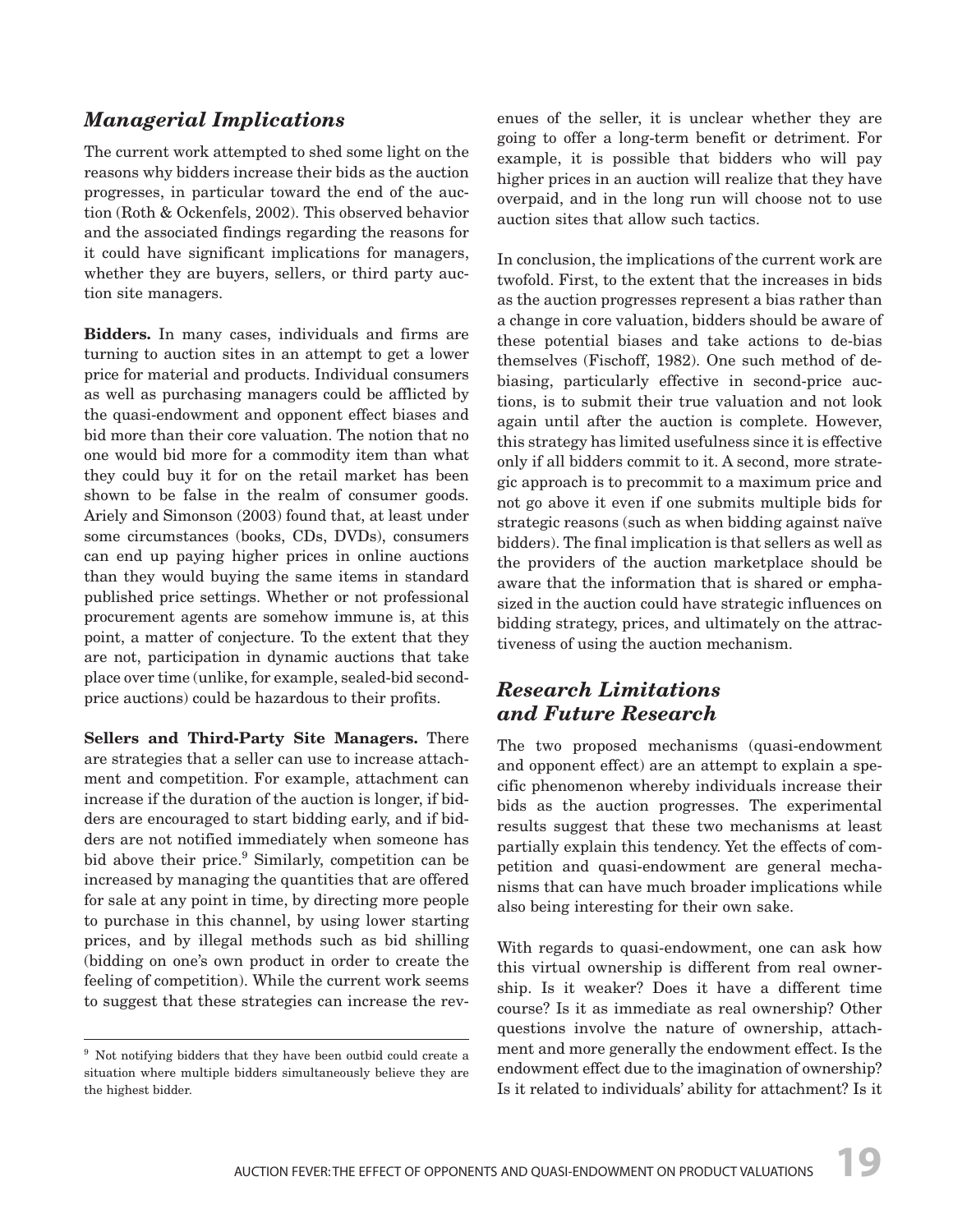## *Managerial Implications*

The current work attempted to shed some light on the reasons why bidders increase their bids as the auction progresses, in particular toward the end of the auction (Roth & Ockenfels, 2002). This observed behavior and the associated findings regarding the reasons for it could have significant implications for managers, whether they are buyers, sellers, or third party auction site managers.

**Bidders.** In many cases, individuals and firms are turning to auction sites in an attempt to get a lower price for material and products. Individual consumers as well as purchasing managers could be afflicted by the quasi-endowment and opponent effect biases and bid more than their core valuation. The notion that no one would bid more for a commodity item than what they could buy it for on the retail market has been shown to be false in the realm of consumer goods. Ariely and Simonson (2003) found that, at least under some circumstances (books, CDs, DVDs), consumers can end up paying higher prices in online auctions than they would buying the same items in standard published price settings. Whether or not professional procurement agents are somehow immune is, at this point, a matter of conjecture. To the extent that they are not, participation in dynamic auctions that take place over time (unlike, for example, sealed-bid secondprice auctions) could be hazardous to their profits.

**Sellers and Third-Party Site Managers.** There are strategies that a seller can use to increase attachment and competition. For example, attachment can increase if the duration of the auction is longer, if bidders are encouraged to start bidding early, and if bidders are not notified immediately when someone has bid above their price.<sup>9</sup> Similarly, competition can be increased by managing the quantities that are offered for sale at any point in time, by directing more people to purchase in this channel, by using lower starting prices, and by illegal methods such as bid shilling (bidding on one's own product in order to create the feeling of competition). While the current work seems to suggest that these strategies can increase the rev-

enues of the seller, it is unclear whether they are going to offer a long-term benefit or detriment. For example, it is possible that bidders who will pay higher prices in an auction will realize that they have overpaid, and in the long run will choose not to use auction sites that allow such tactics.

In conclusion, the implications of the current work are twofold. First, to the extent that the increases in bids as the auction progresses represent a bias rather than a change in core valuation, bidders should be aware of these potential biases and take actions to de-bias themselves (Fischoff, 1982). One such method of debiasing, particularly effective in second-price auctions, is to submit their true valuation and not look again until after the auction is complete. However, this strategy has limited usefulness since it is effective only if all bidders commit to it. A second, more strategic approach is to precommit to a maximum price and not go above it even if one submits multiple bids for strategic reasons (such as when bidding against naïve bidders). The final implication is that sellers as well as the providers of the auction marketplace should be aware that the information that is shared or emphasized in the auction could have strategic influences on bidding strategy, prices, and ultimately on the attractiveness of using the auction mechanism.

## *Research Limitations and Future Research*

The two proposed mechanisms (quasi-endowment and opponent effect) are an attempt to explain a specific phenomenon whereby individuals increase their bids as the auction progresses. The experimental results suggest that these two mechanisms at least partially explain this tendency. Yet the effects of competition and quasi-endowment are general mechanisms that can have much broader implications while also being interesting for their own sake.

With regards to quasi-endowment, one can ask how this virtual ownership is different from real ownership. Is it weaker? Does it have a different time course? Is it as immediate as real ownership? Other questions involve the nature of ownership, attachment and more generally the endowment effect. Is the endowment effect due to the imagination of ownership? Is it related to individuals' ability for attachment? Is it

<sup>&</sup>lt;sup>9</sup> Not notifying bidders that they have been outbid could create a situation where multiple bidders simultaneously believe they are the highest bidder.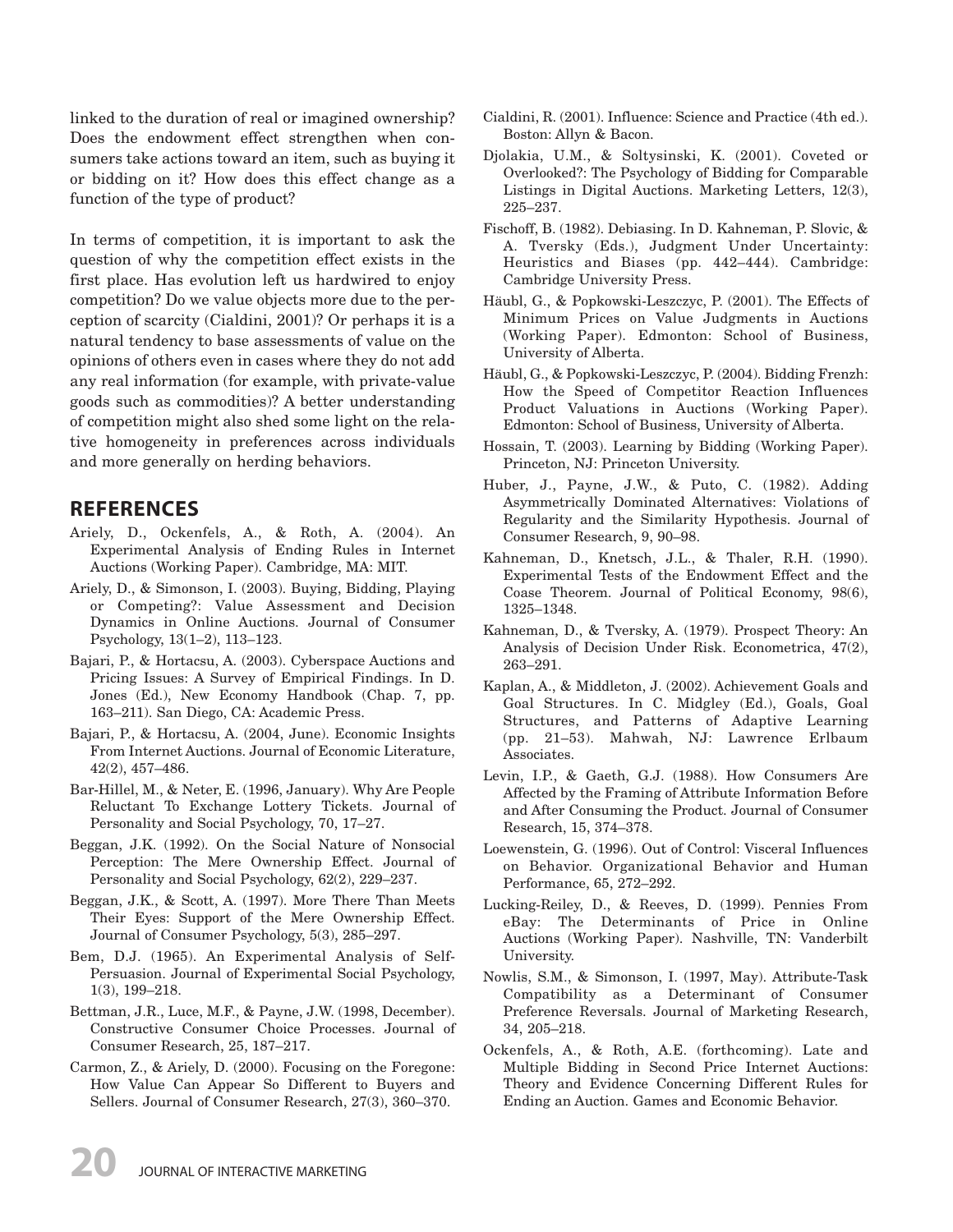linked to the duration of real or imagined ownership? Does the endowment effect strengthen when consumers take actions toward an item, such as buying it or bidding on it? How does this effect change as a function of the type of product?

In terms of competition, it is important to ask the question of why the competition effect exists in the first place. Has evolution left us hardwired to enjoy competition? Do we value objects more due to the perception of scarcity (Cialdini, 2001)? Or perhaps it is a natural tendency to base assessments of value on the opinions of others even in cases where they do not add any real information (for example, with private-value goods such as commodities)? A better understanding of competition might also shed some light on the relative homogeneity in preferences across individuals and more generally on herding behaviors.

#### **REFERENCES**

- Ariely, D., Ockenfels, A., & Roth, A. (2004). An Experimental Analysis of Ending Rules in Internet Auctions (Working Paper). Cambridge, MA: MIT.
- Ariely, D., & Simonson, I. (2003). Buying, Bidding, Playing or Competing?: Value Assessment and Decision Dynamics in Online Auctions. Journal of Consumer Psychology, 13(1–2), 113–123.
- Bajari, P., & Hortacsu, A. (2003). Cyberspace Auctions and Pricing Issues: A Survey of Empirical Findings. In D. Jones (Ed.), New Economy Handbook (Chap. 7, pp. 163–211). San Diego, CA: Academic Press.
- Bajari, P., & Hortacsu, A. (2004, June). Economic Insights From Internet Auctions. Journal of Economic Literature, 42(2), 457–486.
- Bar-Hillel, M., & Neter, E. (1996, January). Why Are People Reluctant To Exchange Lottery Tickets. Journal of Personality and Social Psychology, 70, 17–27.
- Beggan, J.K. (1992). On the Social Nature of Nonsocial Perception: The Mere Ownership Effect. Journal of Personality and Social Psychology, 62(2), 229–237.
- Beggan, J.K., & Scott, A. (1997). More There Than Meets Their Eyes: Support of the Mere Ownership Effect. Journal of Consumer Psychology, 5(3), 285–297.
- Bem, D.J. (1965). An Experimental Analysis of Self-Persuasion. Journal of Experimental Social Psychology, 1(3), 199–218.
- Bettman, J.R., Luce, M.F., & Payne, J.W. (1998, December). Constructive Consumer Choice Processes. Journal of Consumer Research, 25, 187–217.
- Carmon, Z., & Ariely, D. (2000). Focusing on the Foregone: How Value Can Appear So Different to Buyers and Sellers. Journal of Consumer Research, 27(3), 360–370.
- Cialdini, R. (2001). Influence: Science and Practice (4th ed.). Boston: Allyn & Bacon.
- Djolakia, U.M., & Soltysinski, K. (2001). Coveted or Overlooked?: The Psychology of Bidding for Comparable Listings in Digital Auctions. Marketing Letters, 12(3), 225–237.
- Fischoff, B. (1982). Debiasing. In D. Kahneman, P. Slovic, & A. Tversky (Eds.), Judgment Under Uncertainty: Heuristics and Biases (pp. 442–444). Cambridge: Cambridge University Press.
- Häubl, G., & Popkowski-Leszczyc, P. (2001). The Effects of Minimum Prices on Value Judgments in Auctions (Working Paper). Edmonton: School of Business, University of Alberta.
- Häubl, G., & Popkowski-Leszczyc, P. (2004). Bidding Frenzh: How the Speed of Competitor Reaction Influences Product Valuations in Auctions (Working Paper). Edmonton: School of Business, University of Alberta.
- Hossain, T. (2003). Learning by Bidding (Working Paper). Princeton, NJ: Princeton University.
- Huber, J., Payne, J.W., & Puto, C. (1982). Adding Asymmetrically Dominated Alternatives: Violations of Regularity and the Similarity Hypothesis. Journal of Consumer Research, 9, 90–98.
- Kahneman, D., Knetsch, J.L., & Thaler, R.H. (1990). Experimental Tests of the Endowment Effect and the Coase Theorem. Journal of Political Economy, 98(6), 1325–1348.
- Kahneman, D., & Tversky, A. (1979). Prospect Theory: An Analysis of Decision Under Risk. Econometrica, 47(2), 263–291.
- Kaplan, A., & Middleton, J. (2002). Achievement Goals and Goal Structures. In C. Midgley (Ed.), Goals, Goal Structures, and Patterns of Adaptive Learning (pp. 21–53). Mahwah, NJ: Lawrence Erlbaum Associates.
- Levin, I.P., & Gaeth, G.J. (1988). How Consumers Are Affected by the Framing of Attribute Information Before and After Consuming the Product. Journal of Consumer Research, 15, 374–378.
- Loewenstein, G. (1996). Out of Control: Visceral Influences on Behavior. Organizational Behavior and Human Performance, 65, 272–292.
- Lucking-Reiley, D., & Reeves, D. (1999). Pennies From eBay: The Determinants of Price in Online Auctions (Working Paper). Nashville, TN: Vanderbilt University.
- Nowlis, S.M., & Simonson, I. (1997, May). Attribute-Task Compatibility as a Determinant of Consumer Preference Reversals. Journal of Marketing Research, 34, 205–218.
- Ockenfels, A., & Roth, A.E. (forthcoming). Late and Multiple Bidding in Second Price Internet Auctions: Theory and Evidence Concerning Different Rules for Ending an Auction. Games and Economic Behavior.